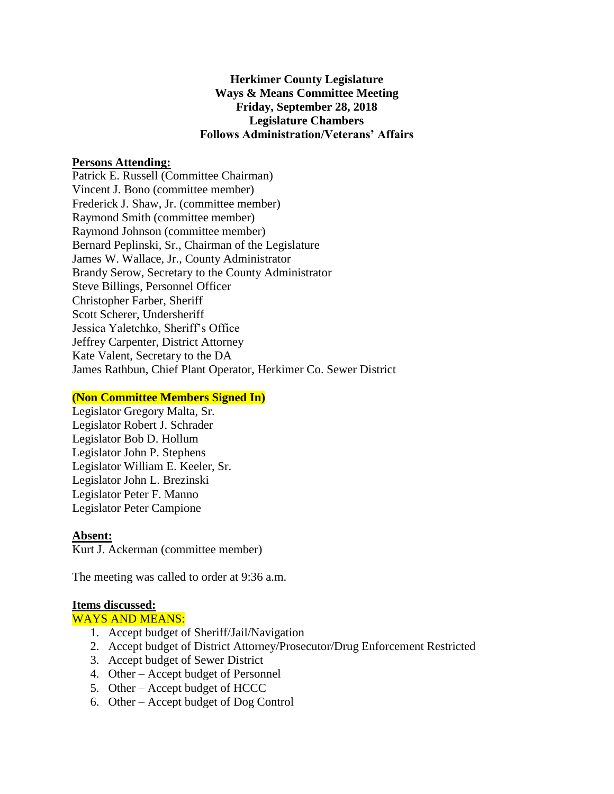# **Herkimer County Legislature Ways & Means Committee Meeting Friday, September 28, 2018 Legislature Chambers Follows Administration/Veterans' Affairs**

## **Persons Attending:**

Patrick E. Russell (Committee Chairman) Vincent J. Bono (committee member) Frederick J. Shaw, Jr. (committee member) Raymond Smith (committee member) Raymond Johnson (committee member) Bernard Peplinski, Sr., Chairman of the Legislature James W. Wallace, Jr., County Administrator Brandy Serow, Secretary to the County Administrator Steve Billings, Personnel Officer Christopher Farber, Sheriff Scott Scherer, Undersheriff Jessica Yaletchko, Sheriff's Office Jeffrey Carpenter, District Attorney Kate Valent, Secretary to the DA James Rathbun, Chief Plant Operator, Herkimer Co. Sewer District

## **(Non Committee Members Signed In)**

Legislator Gregory Malta, Sr. Legislator Robert J. Schrader Legislator Bob D. Hollum Legislator John P. Stephens Legislator William E. Keeler, Sr. Legislator John L. Brezinski Legislator Peter F. Manno Legislator Peter Campione

#### **Absent:**

Kurt J. Ackerman (committee member)

The meeting was called to order at 9:36 a.m.

#### **Items discussed:**

## WAYS AND MEANS:

- 1. Accept budget of Sheriff/Jail/Navigation
- 2. Accept budget of District Attorney/Prosecutor/Drug Enforcement Restricted
- 3. Accept budget of Sewer District
- 4. Other Accept budget of Personnel
- 5. Other Accept budget of HCCC
- 6. Other Accept budget of Dog Control